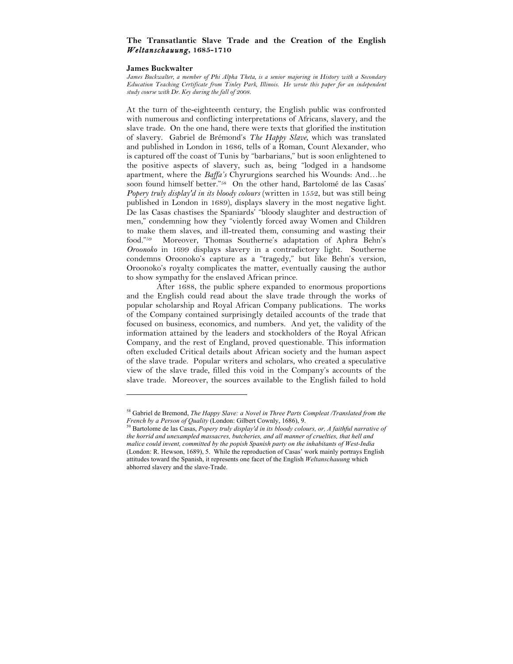# **The Transatlantic Slave Trade and the Creation of the English**  *Weltanschauung***, 1685-1710**

#### **James Buckwalter**

*James Buckwalter, a member of Phi Alpha Theta, is a senior majoring in History with a Secondary Education Teaching Certificate from Tinley Park, Illinois. He wrote this paper for an independent study course with Dr. Key during the fall of 2008.*

At the turn of the-eighteenth century, the English public was confronted with numerous and conflicting interpretations of Africans, slavery, and the slave trade. On the one hand, there were texts that glorified the institution of slavery. Gabriel de Brémond's *The Happy Slave*, which was translated and published in London in 1686, tells of a Roman, Count Alexander, who is captured off the coast of Tunis by "barbarians," but is soon enlightened to the positive aspects of slavery, such as, being "lodged in a handsome apartment, where the *Baffa's* Chyrurgions searched his Wounds: And…he soon found himself better."58 On the other hand, Bartolomé de las Casas' *Popery truly display'd in its bloody colours* (written in 1552, but was still being published in London in 1689), displays slavery in the most negative light. De las Casas chastises the Spaniards' "bloody slaughter and destruction of men," condemning how they "violently forced away Women and Children to make them slaves, and ill-treated them, consuming and wasting their food."59 Moreover, Thomas Southerne's adaptation of Aphra Behn's *Oroonoko* in 1699 displays slavery in a contradictory light. Southerne condemns Oroonoko's capture as a "tragedy," but like Behn's version, Oroonoko's royalty complicates the matter, eventually causing the author to show sympathy for the enslaved African prince.

After 1688, the public sphere expanded to enormous proportions and the English could read about the slave trade through the works of popular scholarship and Royal African Company publications. The works of the Company contained surprisingly detailed accounts of the trade that focused on business, economics, and numbers. And yet, the validity of the information attained by the leaders and stockholders of the Royal African Company, and the rest of England, proved questionable. This information often excluded Critical details about African society and the human aspect of the slave trade. Popular writers and scholars, who created a speculative view of the slave trade, filled this void in the Company's accounts of the slave trade. Moreover, the sources available to the English failed to hold

<sup>58</sup> Gabriel de Bremond, *The Happy Slave: a Novel in Three Parts Compleat /Translated from the French by a Person of Quality* (London: Gilbert Cownly, 1686), 9.<br><sup>59</sup> Bartolome de las Cassa, *Ponsey Kurk, 11, 11, 11, 11, 1686*), 9.

<sup>59</sup> Bartolome de las Casas, *Popery truly display'd in its bloody colours, or, A faithful narrative of the horrid and unexampled massacres, butcheries, and all manner of cruelties, that hell and malice could invent, committed by the popish Spanish party on the inhabitants of West-India*  (London: R. Hewson, 1689), 5. While the reproduction of Casas' work mainly portrays English attitudes toward the Spanish, it represents one facet of the English *Weltanschauung* which abhorred slavery and the slave-Trade.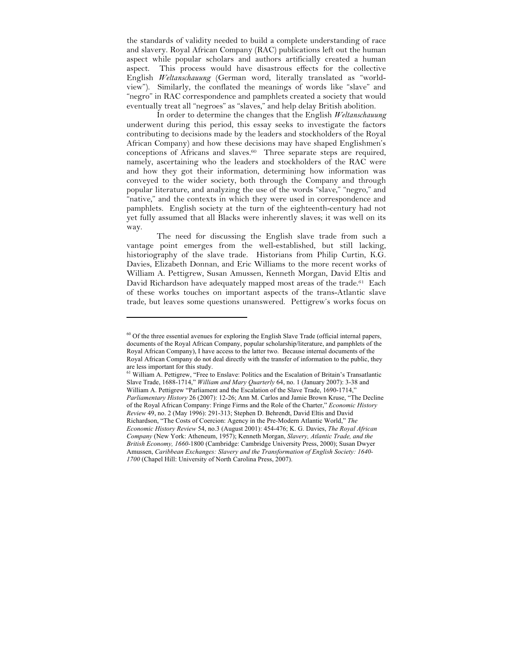the standards of validity needed to build a complete understanding of race and slavery. Royal African Company (RAC) publications left out the human aspect while popular scholars and authors artificially created a human aspect. This process would have disastrous effects for the collective English *Weltanschauung* (German word, literally translated as "worldview"). Similarly, the conflated the meanings of words like "slave" and "negro" in RAC correspondence and pamphlets created a society that would eventually treat all "negroes" as "slaves," and help delay British abolition.

In order to determine the changes that the English *Weltanschauung* underwent during this period, this essay seeks to investigate the factors contributing to decisions made by the leaders and stockholders of the Royal African Company) and how these decisions may have shaped Englishmen's conceptions of Africans and slaves.60 Three separate steps are required, namely, ascertaining who the leaders and stockholders of the RAC were and how they got their information, determining how information was conveyed to the wider society, both through the Company and through popular literature, and analyzing the use of the words "slave," "negro," and "native," and the contexts in which they were used in correspondence and pamphlets. English society at the turn of the eighteenth-century had not yet fully assumed that all Blacks were inherently slaves; it was well on its way.

The need for discussing the English slave trade from such a vantage point emerges from the well-established, but still lacking, historiography of the slave trade. Historians from Philip Curtin, K.G. Davies, Elizabeth Donnan, and Eric Williams to the more recent works of William A. Pettigrew, Susan Amussen, Kenneth Morgan, David Eltis and David Richardson have adequately mapped most areas of the trade.<sup>61</sup> Each of these works touches on important aspects of the trans-Atlantic slave trade, but leaves some questions unanswered. Pettigrew's works focus on

<sup>&</sup>lt;sup>60</sup> Of the three essential avenues for exploring the English Slave Trade (official internal papers, documents of the Royal African Company, popular scholarship/literature, and pamphlets of the Royal African Company), I have access to the latter two. Because internal documents of the Royal African Company do not deal directly with the transfer of information to the public, they are less important for this study.

<sup>&</sup>lt;sup>61</sup> William A. Pettigrew, "Free to Enslave: Politics and the Escalation of Britain's Transatlantic Slave Trade, 1688-1714," *William and Mary Quarterly* 64, no. 1 (January 2007): 3-38 and William A. Pettigrew "Parliament and the Escalation of the Slave Trade, 1690-1714," *Parliamentary History* 26 (2007): 12-26; Ann M. Carlos and Jamie Brown Kruse, "The Decline of the Royal African Company: Fringe Firms and the Role of the Charter," *Economic History Review* 49, no. 2 (May 1996): 291-313; Stephen D. Behrendt, David Eltis and David Richardson, "The Costs of Coercion: Agency in the Pre-Modern Atlantic World," *The Economic History Review* 54, no.3 (August 2001): 454-476; K. G. Davies, *The Royal African Company* (New York: Atheneum, 1957); Kenneth Morgan, *Slavery, Atlantic Trade, and the British Economy, 1660-*1800 (Cambridge: Cambridge University Press, 2000); Susan Dwyer Amussen, *Caribbean Exchanges: Slavery and the Transformation of English Society: 1640- 1700* (Chapel Hill: University of North Carolina Press, 2007).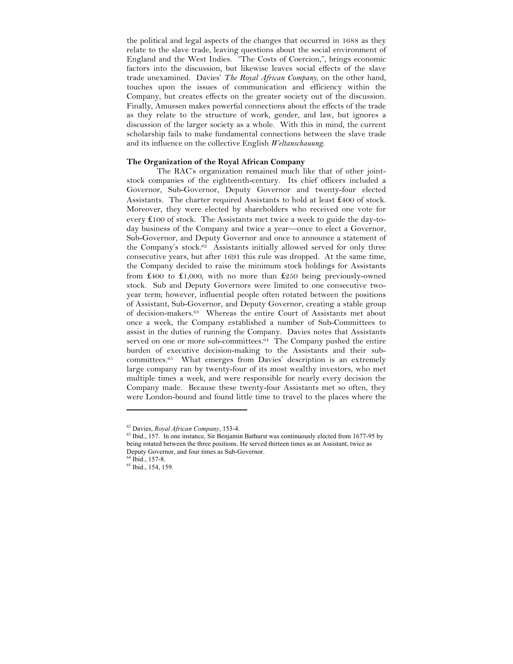the political and legal aspects of the changes that occurred in 1688 as they relate to the slave trade, leaving questions about the social environment of England and the West Indies. "The Costs of Coercion,", brings economic factors into the discussion, but likewise leaves social effects of the slave trade unexamined. Davies' *The Royal African Company*, on the other hand, touches upon the issues of communication and efficiency within the Company, but creates effects on the greater society out of the discussion. Finally, Amussen makes powerful connections about the effects of the trade as they relate to the structure of work, gender, and law, but ignores a discussion of the larger society as a whole. With this in mind, the current scholarship fails to make fundamental connections between the slave trade and its influence on the collective English *Weltanschauung*.

## **The Organization of the Royal African Company**

The RAC's organization remained much like that of other jointstock companies of the eighteenth-century. Its chief officers included a Governor, Sub-Governor, Deputy Governor and twenty-four elected Assistants. The charter required Assistants to hold at least ₤400 of stock. Moreover, they were elected by shareholders who received one vote for every ₤100 of stock. The Assistants met twice a week to guide the day-today business of the Company and twice a year—once to elect a Governor, Sub-Governor, and Deputy Governor and once to announce a statement of the Company's stock.62 Assistants initially allowed served for only three consecutive years, but after 1691 this rule was dropped. At the same time, the Company decided to raise the minimum stock holdings for Assistants from ₤400 to ₤1,000, with no more than ₤250 being previously-owned stock. Sub and Deputy Governors were limited to one consecutive twoyear term; however, influential people often rotated between the positions of Assistant, Sub-Governor, and Deputy Governor, creating a stable group of decision-makers.63 Whereas the entire Court of Assistants met about once a week, the Company established a number of Sub-Committees to assist in the duties of running the Company. Davies notes that Assistants served on one or more sub-committees. $64$  The Company pushed the entire burden of executive decision-making to the Assistants and their subcommittees.65 What emerges from Davies' description is an extremely large company ran by twenty-four of its most wealthy investors, who met multiple times a week, and were responsible for nearly every decision the Company made. Because these twenty-four Assistants met so often, they were London-bound and found little time to travel to the places where the

<sup>62</sup> Davies, *Royal African Company*, 153-4.

<sup>&</sup>lt;sup>63</sup> Ibid., 157. In one instance, Sir Benjamin Bathurst was continuously elected from 1677-95 by being rotated between the three positions. He served thirteen times as an Assistant, twice as Deputy Governor, and four times as Sub-Governor. 64 Ibid., 157-8.

<sup>65</sup> Ibid., 154, 159.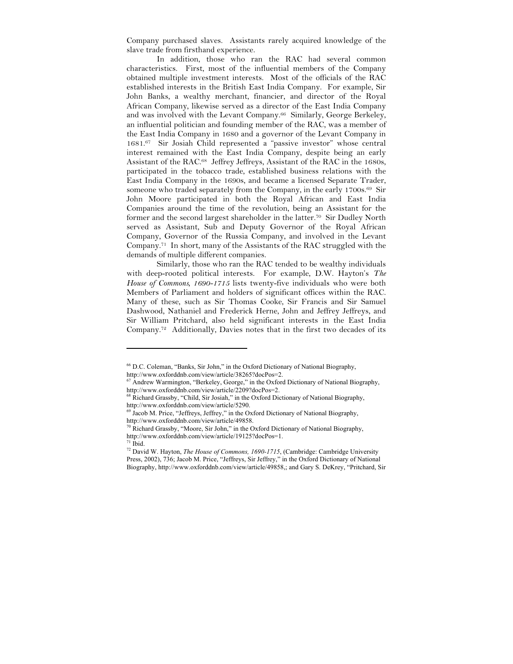Company purchased slaves. Assistants rarely acquired knowledge of the slave trade from firsthand experience.

In addition, those who ran the RAC had several common characteristics. First, most of the influential members of the Company obtained multiple investment interests. Most of the officials of the RAC established interests in the British East India Company. For example, Sir John Banks, a wealthy merchant, financier, and director of the Royal African Company, likewise served as a director of the East India Company and was involved with the Levant Company.<sup>66</sup> Similarly, George Berkeley, an influential politician and founding member of the RAC, was a member of the East India Company in 1680 and a governor of the Levant Company in 1681.67 Sir Josiah Child represented a "passive investor" whose central interest remained with the East India Company, despite being an early Assistant of the RAC.68 Jeffrey Jeffreys, Assistant of the RAC in the 1680s, participated in the tobacco trade, established business relations with the East India Company in the 1690s, and became a licensed Separate Trader, someone who traded separately from the Company, in the early 1700s.<sup>69</sup> Sir John Moore participated in both the Royal African and East India Companies around the time of the revolution, being an Assistant for the former and the second largest shareholder in the latter.70 Sir Dudley North served as Assistant, Sub and Deputy Governor of the Royal African Company, Governor of the Russia Company, and involved in the Levant Company.71 In short, many of the Assistants of the RAC struggled with the demands of multiple different companies.

Similarly, those who ran the RAC tended to be wealthy individuals with deep-rooted political interests. For example, D.W. Hayton's *The House of Commons, 1690-1715* lists twenty-five individuals who were both Members of Parliament and holders of significant offices within the RAC. Many of these, such as Sir Thomas Cooke, Sir Francis and Sir Samuel Dashwood, Nathaniel and Frederick Herne, John and Jeffrey Jeffreys, and Sir William Pritchard, also held significant interests in the East India Company.72 Additionally, Davies notes that in the first two decades of its

<sup>66</sup> D.C. Coleman, "Banks, Sir John," in the Oxford Dictionary of National Biography, http://www.oxforddnb.com/view/article/38265?docPos=2.

Andrew Warmington, "Berkeley, George," in the Oxford Dictionary of National Biography, http://www.oxforddnb.com/view/article/2209?docPos=2.

<sup>68</sup> Richard Grassby, "Child, Sir Josiah," in the Oxford Dictionary of National Biography, http://www.oxforddnb.com/view/article/5290.

<sup>&</sup>lt;sup>69</sup> Jacob M. Price, "Jeffreys, Jeffrey," in the Oxford Dictionary of National Biography, http://www.oxforddnb.com/view/article/49858.

<sup>&</sup>lt;sup>2</sup> Richard Grassby, "Moore, Sir John," in the Oxford Dictionary of National Biography, http://www.oxforddnb.com/view/article/19125?docPos=1.

 $71$  Ibid.

<sup>&</sup>lt;sup>72</sup> David W. Hayton, *The House of Commons, 1690-1715*, (Cambridge: Cambridge University Press, 2002), 736; Jacob M. Price, "Jeffreys, Sir Jeffrey," in the Oxford Dictionary of National Biography, http://www.oxforddnb.com/view/article/49858,; and Gary S. DeKrey, "Pritchard, Sir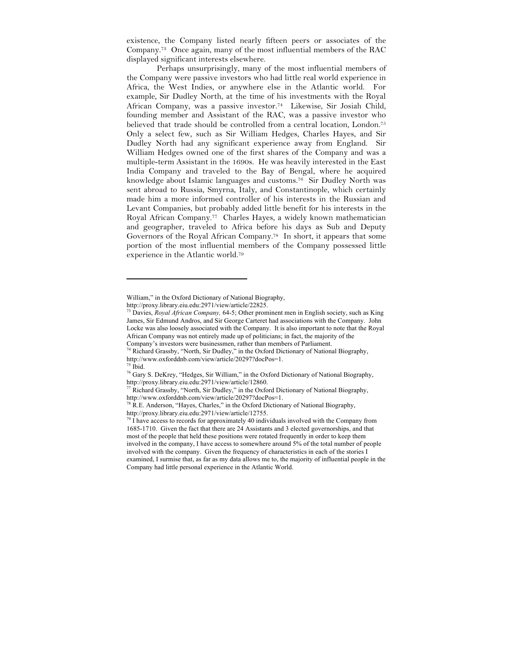existence, the Company listed nearly fifteen peers or associates of the Company.73 Once again, many of the most influential members of the RAC displayed significant interests elsewhere.

Perhaps unsurprisingly, many of the most influential members of the Company were passive investors who had little real world experience in Africa, the West Indies, or anywhere else in the Atlantic world. For example, Sir Dudley North, at the time of his investments with the Royal African Company, was a passive investor.74 Likewise, Sir Josiah Child, founding member and Assistant of the RAC, was a passive investor who believed that trade should be controlled from a central location, London.75 Only a select few, such as Sir William Hedges, Charles Hayes, and Sir Dudley North had any significant experience away from England. Sir William Hedges owned one of the first shares of the Company and was a multiple-term Assistant in the 1690s. He was heavily interested in the East India Company and traveled to the Bay of Bengal, where he acquired knowledge about Islamic languages and customs.76 Sir Dudley North was sent abroad to Russia, Smyrna, Italy, and Constantinople, which certainly made him a more informed controller of his interests in the Russian and Levant Companies, but probably added little benefit for his interests in the Royal African Company.77 Charles Hayes, a widely known mathematician and geographer, traveled to Africa before his days as Sub and Deputy Governors of the Royal African Company.78 In short, it appears that some portion of the most influential members of the Company possessed little experience in the Atlantic world.79

William," in the Oxford Dictionary of National Biography,

http://proxy.library.eiu.edu:2971/view/article/22825.

<sup>73</sup> Davies, *Royal African Company,* 64-5; Other prominent men in English society, such as King James, Sir Edmund Andros, and Sir George Carteret had associations with the Company. John Locke was also loosely associated with the Company. It is also important to note that the Royal African Company was not entirely made up of politicians; in fact, the majority of the Company's investors were businessmen, rather than members of Parliament.

<sup>74</sup> Richard Grassby, "North, Sir Dudley," in the Oxford Dictionary of National Biography, http://www.oxforddnb.com/view/article/20297?docPos=1.

 $75$  Ibid.

<sup>76</sup> Gary S. DeKrey, "Hedges, Sir William," in the Oxford Dictionary of National Biography, http://proxy.library.eiu.edu:2971/view/article/12860.

Richard Grassby, "North, Sir Dudley," in the Oxford Dictionary of National Biography, http://www.oxforddnb.com/view/article/20297?docPos=1.

 $^{78}$  R.E. Anderson, "Hayes, Charles," in the Oxford Dictionary of National Biography, http://proxy.library.eiu.edu:2971/view/article/12755.

 $79$  I have access to records for approximately 40 individuals involved with the Company from 1685-1710. Given the fact that there are 24 Assistants and 3 elected governorships, and that most of the people that held these positions were rotated frequently in order to keep them involved in the company, I have access to somewhere around 5% of the total number of people involved with the company. Given the frequency of characteristics in each of the stories I examined, I surmise that, as far as my data allows me to, the majority of influential people in the Company had little personal experience in the Atlantic World.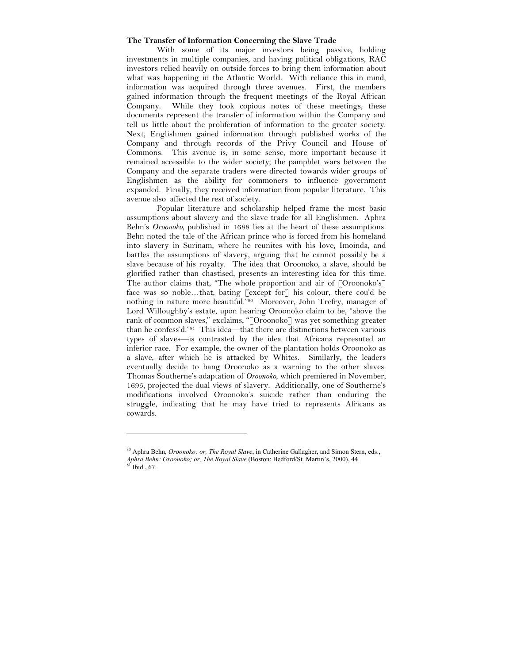## **The Transfer of Information Concerning the Slave Trade**

With some of its major investors being passive, holding investments in multiple companies, and having political obligations, RAC investors relied heavily on outside forces to bring them information about what was happening in the Atlantic World. With reliance this in mind, information was acquired through three avenues. First, the members gained information through the frequent meetings of the Royal African Company. While they took copious notes of these meetings, these documents represent the transfer of information within the Company and tell us little about the proliferation of information to the greater society. Next, Englishmen gained information through published works of the Company and through records of the Privy Council and House of Commons. This avenue is, in some sense, more important because it remained accessible to the wider society; the pamphlet wars between the Company and the separate traders were directed towards wider groups of Englishmen as the ability for commoners to influence government expanded. Finally, they received information from popular literature. This avenue also affected the rest of society.

Popular literature and scholarship helped frame the most basic assumptions about slavery and the slave trade for all Englishmen. Aphra Behn's *Oroonoko*, published in 1688 lies at the heart of these assumptions. Behn noted the tale of the African prince who is forced from his homeland into slavery in Surinam, where he reunites with his love, Imoinda, and battles the assumptions of slavery, arguing that he cannot possibly be a slave because of his royalty. The idea that Oroonoko, a slave, should be glorified rather than chastised, presents an interesting idea for this time. The author claims that, "The whole proportion and air of [Oroonoko's] face was so noble…that, bating [except for] his colour, there cou'd be nothing in nature more beautiful."80 Moreover, John Trefry, manager of Lord Willoughby's estate, upon hearing Oroonoko claim to be, "above the rank of common slaves," exclaims, "[Oroonoko] was yet something greater than he confess'd."81 This idea—that there are distinctions between various types of slaves—is contrasted by the idea that Africans represnted an inferior race. For example, the owner of the plantation holds Oroonoko as a slave, after which he is attacked by Whites. Similarly, the leaders eventually decide to hang Oroonoko as a warning to the other slaves. Thomas Southerne's adaptation of *Oroonoko*, which premiered in November, 1695, projected the dual views of slavery. Additionally, one of Southerne's modifications involved Oroonoko's suicide rather than enduring the struggle, indicating that he may have tried to represents Africans as cowards.

<sup>80</sup> Aphra Behn, *Oroonoko; or, The Royal Slave*, in Catherine Gallagher, and Simon Stern, eds., *Aphra Behn: Oroonoko; or, The Royal Slave* (Boston: Bedford/St. Martin's, 2000), 44.  $81$  Ibid., 67.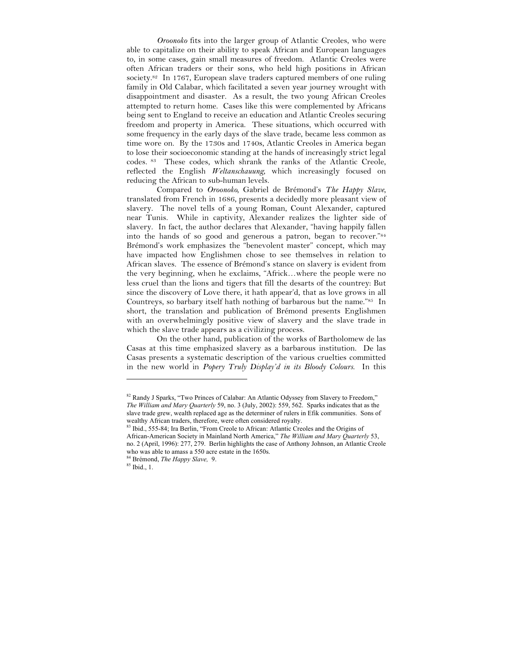*Oroonoko* fits into the larger group of Atlantic Creoles, who were able to capitalize on their ability to speak African and European languages to, in some cases, gain small measures of freedom. Atlantic Creoles were often African traders or their sons, who held high positions in African society.<sup>82</sup> In 1767, European slave traders captured members of one ruling family in Old Calabar, which facilitated a seven year journey wrought with disappointment and disaster. As a result, the two young African Creoles attempted to return home. Cases like this were complemented by Africans being sent to England to receive an education and Atlantic Creoles securing freedom and property in America. These situations, which occurred with some frequency in the early days of the slave trade, became less common as time wore on. By the 1730s and 1740s, Atlantic Creoles in America began to lose their socioeconomic standing at the hands of increasingly strict legal codes. 83 These codes, which shrank the ranks of the Atlantic Creole, reflected the English *Weltanschauung*, which increasingly focused on reducing the African to sub-human levels.

Compared to *Oroonoko,* Gabriel de Brémond's *The Happy Slave*, translated from French in 1686, presents a decidedly more pleasant view of slavery. The novel tells of a young Roman, Count Alexander, captured near Tunis. While in captivity, Alexander realizes the lighter side of slavery. In fact, the author declares that Alexander, "having happily fallen into the hands of so good and generous a patron, began to recover."84 Brémond's work emphasizes the "benevolent master" concept, which may have impacted how Englishmen chose to see themselves in relation to African slaves. The essence of Brémond's stance on slavery is evident from the very beginning, when he exclaims, "Africk…where the people were no less cruel than the lions and tigers that fill the desarts of the countrey: But since the discovery of Love there, it hath appear'd, that as love grows in all Countreys, so barbary itself hath nothing of barbarous but the name."85 In short, the translation and publication of Brémond presents Englishmen with an overwhelmingly positive view of slavery and the slave trade in which the slave trade appears as a civilizing process.

On the other hand, publication of the works of Bartholomew de las Casas at this time emphasized slavery as a barbarous institution. De las Casas presents a systematic description of the various cruelties committed in the new world in *Popery Truly Display'd in its Bloody Colours*. In this

<sup>82</sup> Randy J Sparks, "Two Princes of Calabar: An Atlantic Odyssey from Slavery to Freedom," *The William and Mary Quarterly* 59, no. 3 (July, 2002): 559, 562. Sparks indicates that as the slave trade grew, wealth replaced age as the determiner of rulers in Efik communities. Sons of wealthy African traders, therefore, were often considered royalty. 83 Ibid., 555-84; Ira Berlin, "From Creole to African: Atlantic Creoles and the Origins of

African-American Society in Mainland North America," *The William and Mary Quarterly* 53, no. 2 (April, 1996): 277, 279. Berlin highlights the case of Anthony Johnson, an Atlantic Creole who was able to amass a 550 acre estate in the 1650s.

<sup>84</sup> Brémond, *The Happy Slave,* 9.

<sup>85</sup> Ibid., 1.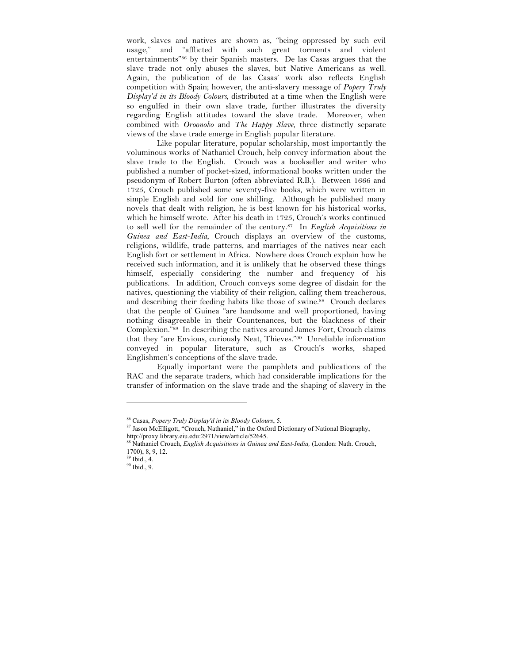work, slaves and natives are shown as, "being oppressed by such evil usage," and "afflicted with such great torments and violent entertainments"86 by their Spanish masters. De las Casas argues that the slave trade not only abuses the slaves, but Native Americans as well. Again, the publication of de las Casas' work also reflects English competition with Spain; however, the anti-slavery message of *Popery Truly Display'd in its Bloody Colours*, distributed at a time when the English were so engulfed in their own slave trade, further illustrates the diversity regarding English attitudes toward the slave trade. Moreover, when combined with *Oroonoko* and *The Happy Slave*, three distinctly separate views of the slave trade emerge in English popular literature.

Like popular literature, popular scholarship, most importantly the voluminous works of Nathaniel Crouch, help convey information about the slave trade to the English. Crouch was a bookseller and writer who published a number of pocket-sized, informational books written under the pseudonym of Robert Burton (often abbreviated R.B.). Between 1666 and 1725, Crouch published some seventy-five books, which were written in simple English and sold for one shilling. Although he published many novels that dealt with religion, he is best known for his historical works, which he himself wrote. After his death in 1725, Crouch's works continued to sell well for the remainder of the century.87 In *English Acquisitions in Guinea and East-India*, Crouch displays an overview of the customs, religions, wildlife, trade patterns, and marriages of the natives near each English fort or settlement in Africa. Nowhere does Crouch explain how he received such information, and it is unlikely that he observed these things himself, especially considering the number and frequency of his publications. In addition, Crouch conveys some degree of disdain for the natives, questioning the viability of their religion, calling them treacherous, and describing their feeding habits like those of swine.<sup>88</sup> Crouch declares that the people of Guinea "are handsome and well proportioned, having nothing disagreeable in their Countenances, but the blackness of their Complexion."89 In describing the natives around James Fort, Crouch claims that they "are Envious, curiously Neat, Thieves."90 Unreliable information conveyed in popular literature, such as Crouch's works, shaped Englishmen's conceptions of the slave trade.

Equally important were the pamphlets and publications of the RAC and the separate traders, which had considerable implications for the transfer of information on the slave trade and the shaping of slavery in the

<sup>86</sup> Casas, *Popery Truly Display'd in its Bloody Colours*, 5.

<sup>87</sup> Jason McElligott, "Crouch, Nathaniel," in the Oxford Dictionary of National Biography, http://proxy.library.eiu.edu:2971/view/article/52645.

<sup>88</sup> Nathaniel Crouch, *English Acquisitions in Guinea and East-India,* (London: Nath. Crouch, 1700), 8, 9, 12.

<sup>89</sup> Ibid., 4.

<sup>90</sup> Ibid., 9.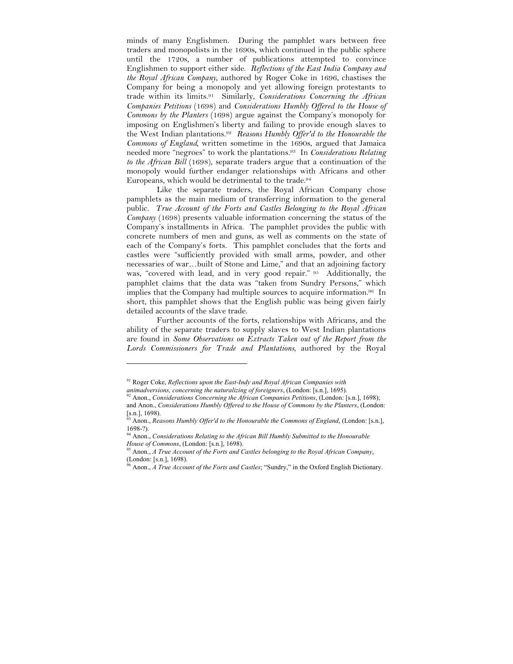minds of many Englishmen. During the pamphlet wars between free traders and monopolists in the 1690s, which continued in the public sphere until the 1720s, a number of publications attempted to convince Englishmen to support either side. *Reflections of the East India Company and the Royal African Company*, authored by Roger Coke in 1696, chastises the Company for being a monopoly and yet allowing foreign protestants to trade within its limits.91 Similarly, *Considerations Concerning the African Companies Petitions* (1698) and *Considerations Humbly Offered to the House of Commons by the Planters* (1698) argue against the Company's monopoly for imposing on Englishmen's liberty and failing to provide enough slaves to the West Indian plantations.92 *Reasons Humbly Offer'd to the Honourable the Commons of England,* written sometime in the 1690s, argued that Jamaica needed more "negroes" to work the plantations.93 In *Considerations Relating to the African Bill* (1698), separate traders argue that a continuation of the monopoly would further endanger relationships with Africans and other Europeans, which would be detrimental to the trade.94

Like the separate traders, the Royal African Company chose pamphlets as the main medium of transferring information to the general public. *True Account of the Forts and Castles Belonging to the Royal African Company* (1698) presents valuable information concerning the status of the Company's installments in Africa. The pamphlet provides the public with concrete numbers of men and guns, as well as comments on the state of each of the Company's forts. This pamphlet concludes that the forts and castles were "sufficiently provided with small arms, powder, and other necessaries of war…built of Stone and Lime," and that an adjoining factory was, "covered with lead, and in very good repair." 95 Additionally, the pamphlet claims that the data was "taken from Sundry Persons," which implies that the Company had multiple sources to acquire information.<sup>96</sup> In short, this pamphlet shows that the English public was being given fairly detailed accounts of the slave trade.

Further accounts of the forts, relationships with Africans, and the ability of the separate traders to supply slaves to West Indian plantations are found in *Some Observations on Extracts Taken out of the Report from the Lords Commissioners for Trade and Plantations*, authored by the Royal

<sup>91</sup> Roger Coke, *Reflections upon the East-Indy and Royal African Companies with* 

*animadversions, concerning the naturalizing of foreigners*, (London: [s.n.], 1695).

<sup>92</sup> Anon., *Considerations Concerning the African Companies Petitions*, (London: [s.n.], 1698); and Anon., *Considerations Humbly Offered to the House of Commons by the Planters*, (London:  $\left[\substack{5.1, 1 \\ 93, 1.1}\right]$ , 1698).

<sup>93</sup> Anon., *Reasons Humbly Offer'd to the Honourable the Commons of England*, (London: [s.n.], 1698-?).

<sup>94</sup> Anon., *Considerations Relating to the African Bill Humbly Submitted to the Honourable House of Commons*, (London: [s.n.], 1698).

<sup>95</sup> Anon., *A True Account of the Forts and Castles belonging to the Royal African Company*, (London: [s.n.], 1698).

<sup>96</sup> Anon., *A True Account of the Forts and Castles*; "Sundry," in the Oxford English Dictionary.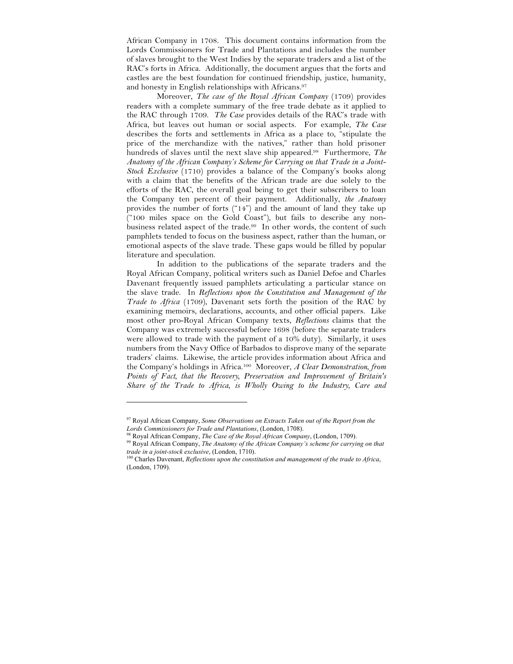African Company in 1708. This document contains information from the Lords Commissioners for Trade and Plantations and includes the number of slaves brought to the West Indies by the separate traders and a list of the RAC's forts in Africa. Additionally, the document argues that the forts and castles are the best foundation for continued friendship, justice, humanity, and honesty in English relationships with Africans.97

Moreover, *The case of the Royal African Company* (1709) provides readers with a complete summary of the free trade debate as it applied to the RAC through 1709. *The Case* provides details of the RAC's trade with Africa, but leaves out human or social aspects. For example, *The Case* describes the forts and settlements in Africa as a place to, "stipulate the price of the merchandize with the natives," rather than hold prisoner hundreds of slaves until the next slave ship appeared.98 Furthermore, *The Anatomy of the African Company's Scheme for Carrying on that Trade in a Joint-Stock Exclusive* (1710) provides a balance of the Company's books along with a claim that the benefits of the African trade are due solely to the efforts of the RAC, the overall goal being to get their subscribers to loan the Company ten percent of their payment. Additionally, *the Anatomy*  provides the number of forts ("14") and the amount of land they take up ("100 miles space on the Gold Coast"), but fails to describe any nonbusiness related aspect of the trade.99 In other words, the content of such pamphlets tended to focus on the business aspect, rather than the human, or emotional aspects of the slave trade. These gaps would be filled by popular literature and speculation.

In addition to the publications of the separate traders and the Royal African Company, political writers such as Daniel Defoe and Charles Davenant frequently issued pamphlets articulating a particular stance on the slave trade. In *Reflections upon the Constitution and Management of the Trade to Africa* (1709), Davenant sets forth the position of the RAC by examining memoirs, declarations, accounts, and other official papers. Like most other pro-Royal African Company texts, *Reflections* claims that the Company was extremely successful before 1698 (before the separate traders were allowed to trade with the payment of a 10% duty). Similarly, it uses numbers from the Navy Office of Barbados to disprove many of the separate traders' claims. Likewise, the article provides information about Africa and the Company's holdings in Africa.100 Moreover, *A Clear Demonstration, from Points of Fact, that the Recovery, Preservation and Improvement of Britain's Share of the Trade to Africa, is Wholly Owing to the Industry, Care and* 

<sup>97</sup> Royal African Company, *Some Observations on Extracts Taken out of the Report from the Lords Commissioners for Trade and Plantations*, (London, 1708).

<sup>98</sup> Royal African Company, *The Case of the Royal African Company*, (London, 1709).

<sup>99</sup> Royal African Company, *The Anatomy of the African Company's scheme for carrying on that trade in a joint-stock exclusive*, (London, 1710).

<sup>100</sup> Charles Davenant, *Reflections upon the constitution and management of the trade to Africa*, (London, 1709).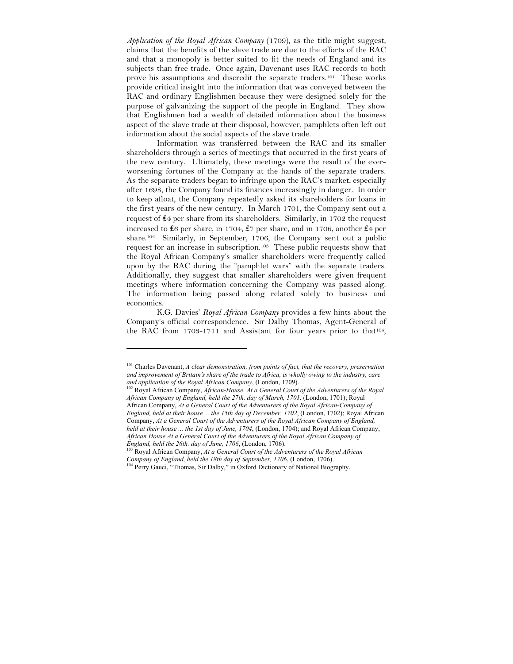*Application of the Royal African Company* (1709), as the title might suggest, claims that the benefits of the slave trade are due to the efforts of the RAC and that a monopoly is better suited to fit the needs of England and its subjects than free trade. Once again, Davenant uses RAC records to both prove his assumptions and discredit the separate traders.<sup>101</sup> These works provide critical insight into the information that was conveyed between the RAC and ordinary Englishmen because they were designed solely for the purpose of galvanizing the support of the people in England. They show that Englishmen had a wealth of detailed information about the business aspect of the slave trade at their disposal, however, pamphlets often left out information about the social aspects of the slave trade.

Information was transferred between the RAC and its smaller shareholders through a series of meetings that occurred in the first years of the new century. Ultimately, these meetings were the result of the everworsening fortunes of the Company at the hands of the separate traders. As the separate traders began to infringe upon the RAC's market, especially after 1698, the Company found its finances increasingly in danger. In order to keep afloat, the Company repeatedly asked its shareholders for loans in the first years of the new century. In March 1701, the Company sent out a request of ₤4 per share from its shareholders. Similarly, in 1702 the request increased to ₤6 per share, in 1704, ₤7 per share, and in 1706, another ₤4 per share.102 Similarly, in September, 1706, the Company sent out a public request for an increase in subscription.103 These public requests show that the Royal African Company's smaller shareholders were frequently called upon by the RAC during the "pamphlet wars" with the separate traders. Additionally, they suggest that smaller shareholders were given frequent meetings where information concerning the Company was passed along. The information being passed along related solely to business and economics.

K.G. Davies' *Royal African Company* provides a few hints about the Company's official correspondence. Sir Dalby Thomas, Agent-General of the RAC from 1703-1711 and Assistant for four years prior to that<sup>104</sup>,

<sup>101</sup> Charles Davenant, *A clear demonstration, from points of fact, that the recovery, preservation and improvement of Britain's share of the trade to Africa, is wholly owing to the industry, care and application of the Royal African Company*, (London, 1709).

<sup>102</sup> Royal African Company, *African-House. At a General Court of the Adventurers of the Royal African Company of England, held the 27th. day of March, 1701,* (London, 1701); Royal African Company, *At a General Court of the Adventurers of the Royal African-Company of England, held at their house ... the 15th day of December, 1702*, (London, 1702); Royal African Company, *At a General Court of the Adventurers of the Royal African Company of England, held at their house ... the 1st day of June, 1704*, (London, 1704); and Royal African Company, *African House At a General Court of the Adventurers of the Royal African Company of England, held the 26th. day of June, 1706*, (London, 1706). 103 Royal African Company, *At a General Court of the Adventurers of the Royal African* 

*Company of England, held the 18th day of September, 1706*, (London, 1706).

<sup>&</sup>lt;sup>104</sup> Perry Gauci, "Thomas, Sir Dalby," in Oxford Dictionary of National Biography.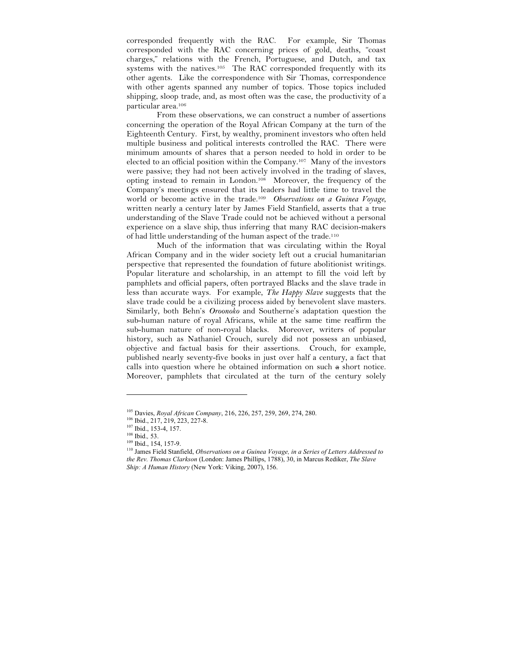corresponded frequently with the RAC. For example, Sir Thomas corresponded with the RAC concerning prices of gold, deaths, "coast charges," relations with the French, Portuguese, and Dutch, and tax systems with the natives.105 The RAC corresponded frequently with its other agents. Like the correspondence with Sir Thomas, correspondence with other agents spanned any number of topics. Those topics included shipping, sloop trade, and, as most often was the case, the productivity of a particular area.106

From these observations, we can construct a number of assertions concerning the operation of the Royal African Company at the turn of the Eighteenth Century. First, by wealthy, prominent investors who often held multiple business and political interests controlled the RAC. There were minimum amounts of shares that a person needed to hold in order to be elected to an official position within the Company.107 Many of the investors were passive; they had not been actively involved in the trading of slaves, opting instead to remain in London.108 Moreover, the frequency of the Company's meetings ensured that its leaders had little time to travel the world or become active in the trade.109 *Observations on a Guinea Voyage*, written nearly a century later by James Field Stanfield, asserts that a true understanding of the Slave Trade could not be achieved without a personal experience on a slave ship, thus inferring that many RAC decision-makers of had little understanding of the human aspect of the trade.110

Much of the information that was circulating within the Royal African Company and in the wider society left out a crucial humanitarian perspective that represented the foundation of future abolitionist writings. Popular literature and scholarship, in an attempt to fill the void left by pamphlets and official papers, often portrayed Blacks and the slave trade in less than accurate ways. For example, *The Happy Slave* suggests that the slave trade could be a civilizing process aided by benevolent slave masters. Similarly, both Behn's *Oroonoko* and Southerne's adaptation question the sub-human nature of royal Africans, while at the same time reaffirm the sub-human nature of non-royal blacks. Moreover, writers of popular history, such as Nathaniel Crouch, surely did not possess an unbiased, objective and factual basis for their assertions. Crouch, for example, published nearly seventy-five books in just over half a century, a fact that calls into question where he obtained information on such a short notice. Moreover, pamphlets that circulated at the turn of the century solely

<sup>105</sup> Davies, *Royal African Company*, 216, 226, 257, 259, 269, 274, 280.

<sup>106</sup> Ibid., 217, 219, 223, 227-8.

<sup>107</sup> Ibid., 153-4, 157.

<sup>108</sup> Ibid.*,* 53.

<sup>109</sup> Ibid., 154, 157-9.

<sup>110</sup> James Field Stanfield, *Observations on a Guinea Voyage, in a Series of Letters Addressed to the Rev. Thomas Clarkson* (London: James Phillips, 1788), 30, in Marcus Rediker, *The Slave Ship: A Human History* (New York: Viking, 2007), 156.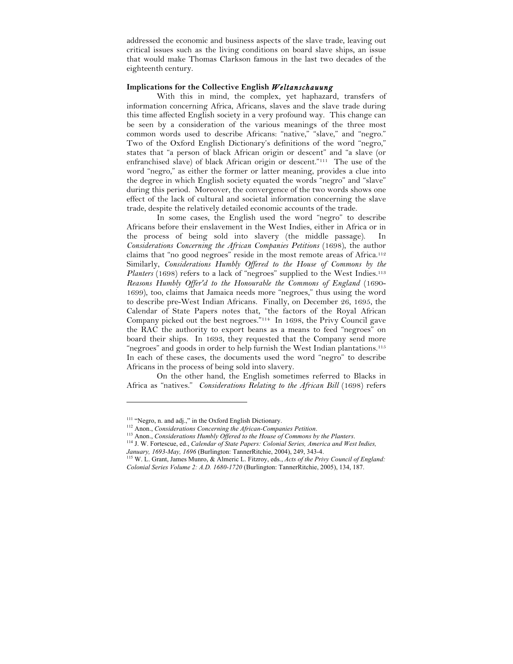addressed the economic and business aspects of the slave trade, leaving out critical issues such as the living conditions on board slave ships, an issue that would make Thomas Clarkson famous in the last two decades of the eighteenth century.

## **Implications for the Collective English** *Weltanschauung*

With this in mind, the complex, yet haphazard, transfers of information concerning Africa, Africans, slaves and the slave trade during this time affected English society in a very profound way. This change can be seen by a consideration of the various meanings of the three most common words used to describe Africans: "native," "slave," and "negro." Two of the Oxford English Dictionary's definitions of the word "negro," states that "a person of black African origin or descent" and "a slave (or enfranchised slave) of black African origin or descent."111 The use of the word "negro," as either the former or latter meaning, provides a clue into the degree in which English society equated the words "negro" and "slave" during this period. Moreover, the convergence of the two words shows one effect of the lack of cultural and societal information concerning the slave trade, despite the relatively detailed economic accounts of the trade.

In some cases, the English used the word "negro" to describe Africans before their enslavement in the West Indies, either in Africa or in the process of being sold into slavery (the middle passage). *Considerations Concerning the African Companies Petitions* (1698), the author claims that "no good negroes" reside in the most remote areas of Africa.<sup>112</sup> Similarly, *Considerations Humbly Offered to the House of Commons by the Planters* (1698) refers to a lack of "negroes" supplied to the West Indies.<sup>113</sup> *Reasons Humbly Offer'd to the Honourable the Commons of England* (1690- 1699), too, claims that Jamaica needs more "negroes," thus using the word to describe pre-West Indian Africans. Finally, on December 26, 1695, the Calendar of State Papers notes that, "the factors of the Royal African Company picked out the best negroes."114 In 1698, the Privy Council gave the RAC the authority to export beans as a means to feed "negroes" on board their ships. In 1693, they requested that the Company send more "negroes" and goods in order to help furnish the West Indian plantations.<sup>115</sup> In each of these cases, the documents used the word "negro" to describe Africans in the process of being sold into slavery.

On the other hand, the English sometimes referred to Blacks in Africa as "natives." *Considerations Relating to the African Bill* (1698) refers

<sup>&</sup>lt;sup>111</sup> "Negro, n. and adj.," in the Oxford English Dictionary.

<sup>112</sup> Anon., *Considerations Concerning the African-Companies Petition*.

<sup>113</sup> Anon., *Considerations Humbly Offered to the House of Commons by the Planters*.

<sup>114</sup> J. W. Fortescue, ed., *Calendar of State Papers: Colonial Series, America and West Indies, January, 1693-May, 1696* (Burlington: TannerRitchie, 2004), 249, 343-4.

<sup>115</sup> W. L. Grant, James Munro, & Almeric L. Fitzroy, eds., *Acts of the Privy Council of England: Colonial Series Volume 2: A.D. 1680-1720* (Burlington: TannerRitchie, 2005), 134, 187.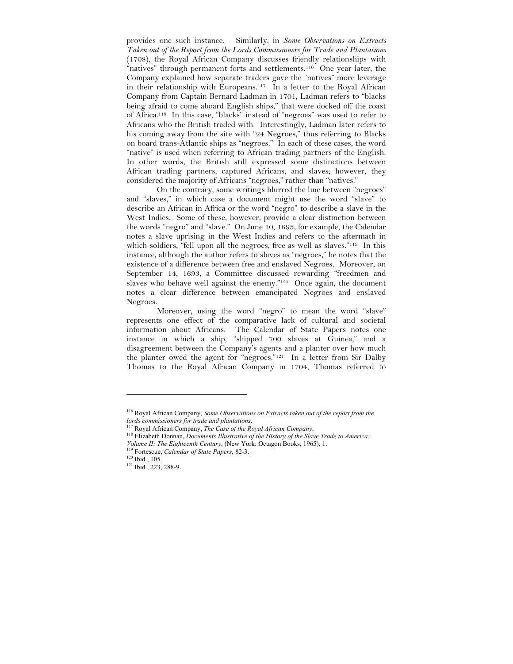provides one such instance. Similarly, in *Some Observations on Extracts Taken out of the Report from the Lords Commissioners for Trade and Plantations* (1708), the Royal African Company discusses friendly relationships with "natives" through permanent forts and settlements.116 One year later, the Company explained how separate traders gave the "natives" more leverage in their relationship with Europeans.117 In a letter to the Royal African Company from Captain Bernard Ladman in 1701, Ladman refers to "blacks being afraid to come aboard English ships," that were docked off the coast of Africa.118 In this case, "blacks" instead of "negroes" was used to refer to Africans who the British traded with. Interestingly, Ladman later refers to his coming away from the site with "24 Negroes," thus referring to Blacks on board trans-Atlantic ships as "negroes." In each of these cases, the word "native" is used when referring to African trading partners of the English. In other words, the British still expressed some distinctions between African trading partners, captured Africans, and slaves; however, they considered the majority of Africans "negroes," rather than "natives."

On the contrary, some writings blurred the line between "negroes" and "slaves," in which case a document might use the word "slave" to describe an African in Africa or the word "negro" to describe a slave in the West Indies. Some of these, however, provide a clear distinction between the words "negro" and "slave." On June 10, 1693, for example, the Calendar notes a slave uprising in the West Indies and refers to the aftermath in which soldiers, "fell upon all the negroes, free as well as slaves."<sup>119</sup> In this instance, although the author refers to slaves as "negroes," he notes that the existence of a difference between free and enslaved Negroes. Moreover, on September 14, 1693, a Committee discussed rewarding "freedmen and slaves who behave well against the enemy."<sup>120</sup> Once again, the document notes a clear difference between emancipated Negroes and enslaved Negroes.

Moreover, using the word "negro" to mean the word "slave" represents one effect of the comparative lack of cultural and societal information about Africans. The Calendar of State Papers notes one instance in which a ship, "shipped 700 slaves at Guinea," and a disagreement between the Company's agents and a planter over how much the planter owed the agent for "negroes."121 In a letter from Sir Dalby Thomas to the Royal African Company in 1704, Thomas referred to

<sup>116</sup> Royal African Company, *Some Observations on Extracts taken out of the report from the lords commissioners for trade and plantations*.

<sup>117</sup> Royal African Company, *The Case of the Royal African Company*.

<sup>118</sup> Elizabeth Donnan, *Documents Illustrative of the History of the Slave Trade to America: Volume II: The Eighteenth Century*, (New York: Octagon Books, 1965), 1.

Fortescue, *Calendar of State Papers*, 82-3.

<sup>120</sup> Ibid., 105.

<sup>121</sup> Ibid., 223, 288-9.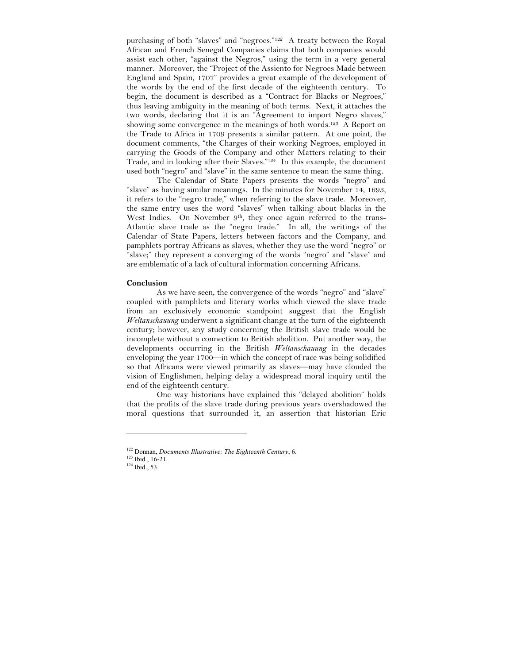purchasing of both "slaves" and "negroes."122 A treaty between the Royal African and French Senegal Companies claims that both companies would assist each other, "against the Negros," using the term in a very general manner. Moreover, the "Project of the Assiento for Negroes Made between England and Spain, 1707" provides a great example of the development of the words by the end of the first decade of the eighteenth century. To begin, the document is described as a "Contract for Blacks or Negroes," thus leaving ambiguity in the meaning of both terms. Next, it attaches the two words, declaring that it is an "Agreement to import Negro slaves," showing some convergence in the meanings of both words.<sup>123</sup> A Report on the Trade to Africa in 1709 presents a similar pattern. At one point, the document comments, "the Charges of their working Negroes, employed in carrying the Goods of the Company and other Matters relating to their Trade, and in looking after their Slaves."124 In this example, the document used both "negro" and "slave" in the same sentence to mean the same thing.

The Calendar of State Papers presents the words "negro" and "slave" as having similar meanings. In the minutes for November 14, 1693, it refers to the "negro trade," when referring to the slave trade. Moreover, the same entry uses the word "slaves" when talking about blacks in the West Indies. On November 9<sup>th</sup>, they once again referred to the trans-Atlantic slave trade as the "negro trade." In all, the writings of the Calendar of State Papers, letters between factors and the Company, and pamphlets portray Africans as slaves, whether they use the word "negro" or "slave;" they represent a converging of the words "negro" and "slave" and are emblematic of a lack of cultural information concerning Africans.

### **Conclusion**

As we have seen, the convergence of the words "negro" and "slave" coupled with pamphlets and literary works which viewed the slave trade from an exclusively economic standpoint suggest that the English *Weltanschauung* underwent a significant change at the turn of the eighteenth century; however, any study concerning the British slave trade would be incomplete without a connection to British abolition. Put another way, the developments occurring in the British *Weltanschauung* in the decades enveloping the year 1700—in which the concept of race was being solidified so that Africans were viewed primarily as slaves—may have clouded the vision of Englishmen, helping delay a widespread moral inquiry until the end of the eighteenth century.

One way historians have explained this "delayed abolition" holds that the profits of the slave trade during previous years overshadowed the moral questions that surrounded it, an assertion that historian Eric

<sup>122</sup> Donnan, *Documents Illustrative: The Eighteenth Century*, 6.

<sup>123</sup> Ibid., 16-21.

<sup>124</sup> Ibid., 53.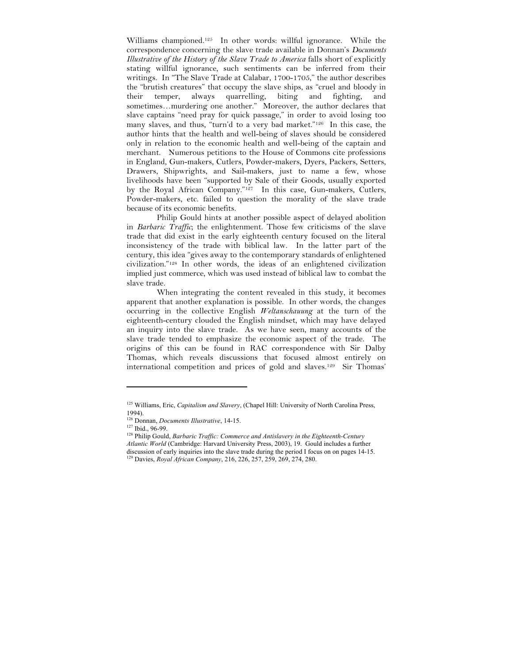Williams championed.125 In other words: willful ignorance. While the correspondence concerning the slave trade available in Donnan's *Documents Illustrative of the History of the Slave Trade to America* falls short of explicitly stating willful ignorance, such sentiments can be inferred from their writings. In "The Slave Trade at Calabar, 1700-1705," the author describes the "brutish creatures" that occupy the slave ships, as "cruel and bloody in their temper, always quarrelling, biting and fighting, and sometimes…murdering one another." Moreover, the author declares that slave captains "need pray for quick passage," in order to avoid losing too many slaves, and thus, "turn'd to a very bad market."126 In this case, the author hints that the health and well-being of slaves should be considered only in relation to the economic health and well-being of the captain and merchant. Numerous petitions to the House of Commons cite professions in England, Gun-makers, Cutlers, Powder-makers, Dyers, Packers, Setters, Drawers, Shipwrights, and Sail-makers, just to name a few, whose livelihoods have been "supported by Sale of their Goods, usually exported by the Royal African Company."127 In this case, Gun-makers, Cutlers, Powder-makers, etc. failed to question the morality of the slave trade because of its economic benefits.

Philip Gould hints at another possible aspect of delayed abolition in *Barbaric Traffic*; the enlightenment. Those few criticisms of the slave trade that did exist in the early eighteenth century focused on the literal inconsistency of the trade with biblical law. In the latter part of the century, this idea "gives away to the contemporary standards of enlightened civilization."128 In other words, the ideas of an enlightened civilization implied just commerce, which was used instead of biblical law to combat the slave trade.

When integrating the content revealed in this study, it becomes apparent that another explanation is possible. In other words, the changes occurring in the collective English *Weltanschauung* at the turn of the eighteenth-century clouded the English mindset, which may have delayed an inquiry into the slave trade. As we have seen, many accounts of the slave trade tended to emphasize the economic aspect of the trade. The origins of this can be found in RAC correspondence with Sir Dalby Thomas, which reveals discussions that focused almost entirely on international competition and prices of gold and slaves.129 Sir Thomas'

<sup>125</sup> Williams, Eric, *Capitalism and Slavery*, (Chapel Hill: University of North Carolina Press, 1994).

<sup>126</sup> Donnan, *Documents Illustrative*, 14-15.

<sup>127</sup> Ibid., 96-99.<br><sup>127</sup> Ibid., 96-99.<br><sup>128</sup> Philip Gould, *Barbaric Traffic: Commerce and Antislavery in the Eighteenth-Century Atlantic World* (Cambridge: Harvard University Press, 2003), 19. Gould includes a further discussion of early inquiries into the slave trade during the period I focus on on pages 14-15. 129 Davies, *Royal African Company*, 216, 226, 257, 259, 269, 274, 280.